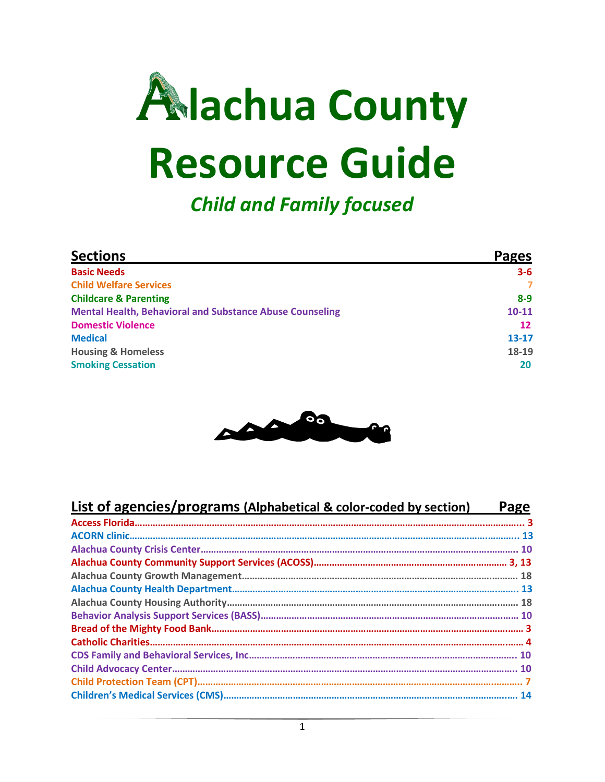

*Child and Family focused*

| <b>Sections</b>                                                 | Pages          |
|-----------------------------------------------------------------|----------------|
| <b>Basic Needs</b>                                              | $3 - 6$        |
| <b>Child Welfare Services</b>                                   | $\overline{ }$ |
| <b>Childcare &amp; Parenting</b>                                | $8-9$          |
| <b>Mental Health, Behavioral and Substance Abuse Counseling</b> | $10 - 11$      |
| <b>Domestic Violence</b>                                        | 12             |
| <b>Medical</b>                                                  | $13 - 17$      |
| <b>Housing &amp; Homeless</b>                                   | 18-19          |
| <b>Smoking Cessation</b>                                        | 20             |



| <b>List of agencies/programs (Alphabetical &amp; color-coded by section)</b> | Page |
|------------------------------------------------------------------------------|------|
|                                                                              |      |
|                                                                              |      |
|                                                                              |      |
|                                                                              |      |
|                                                                              |      |
|                                                                              |      |
|                                                                              |      |
|                                                                              |      |
|                                                                              |      |
|                                                                              |      |
|                                                                              |      |
|                                                                              |      |
|                                                                              |      |
|                                                                              |      |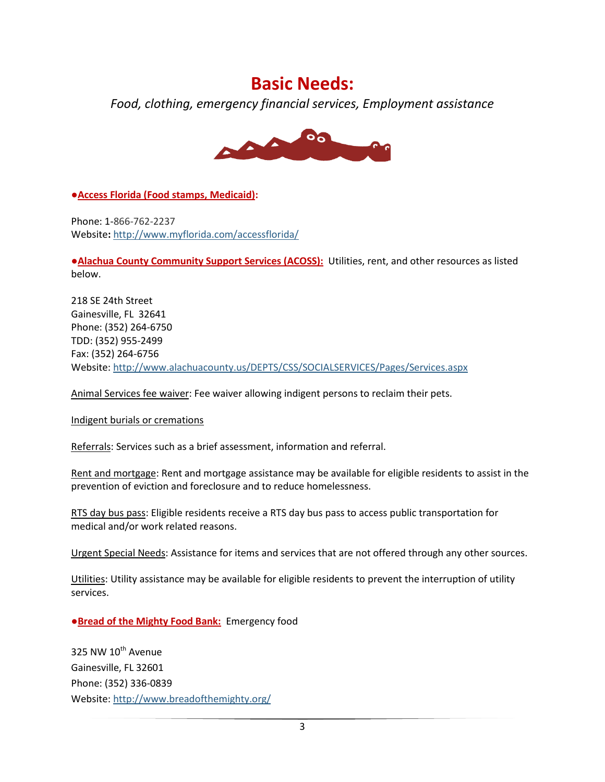#### **Basic Needs:**

*Food, clothing, emergency financial services, Employment assistance*



**●Access Florida (Food stamps, Medicaid):** 

Phone: 1-866-762-2237 Website**:** <http://www.myflorida.com/accessflorida/>

**●Alachua County Community Support Services (ACOSS):** Utilities, rent, and other resources as listed below.

218 SE 24th Street Gainesville, FL 32641 Phone: (352) 264-6750 TDD: (352) 955-2499 Fax: (352) 264-6756 Website[: http://www.alachuacounty.us/DEPTS/CSS/SOCIALSERVICES/Pages/Services.aspx](http://www.alachuacounty.us/DEPTS/CSS/SOCIALSERVICES/Pages/Services.aspx)

Animal Services fee waiver: Fee waiver allowing indigent persons to reclaim their pets.

Indigent burials or cremations

Referrals: Services such as a brief assessment, information and referral.

Rent and mortgage: Rent and mortgage assistance may be available for eligible residents to assist in the prevention of eviction and foreclosure and to reduce homelessness.

RTS day bus pass: Eligible residents receive a RTS day bus pass to access public transportation for medical and/or work related reasons.

Urgent Special Needs: Assistance for items and services that are not offered through any other sources.

Utilities: Utility assistance may be available for eligible residents to prevent the interruption of utility services.

**●Bread of the Mighty Food Bank:** Emergency food

325 NW 10<sup>th</sup> Avenue Gainesville, FL 32601 Phone: (352) 336-0839 Website[: http://www.breadofthemighty.org/](http://www.breadofthemighty.org/)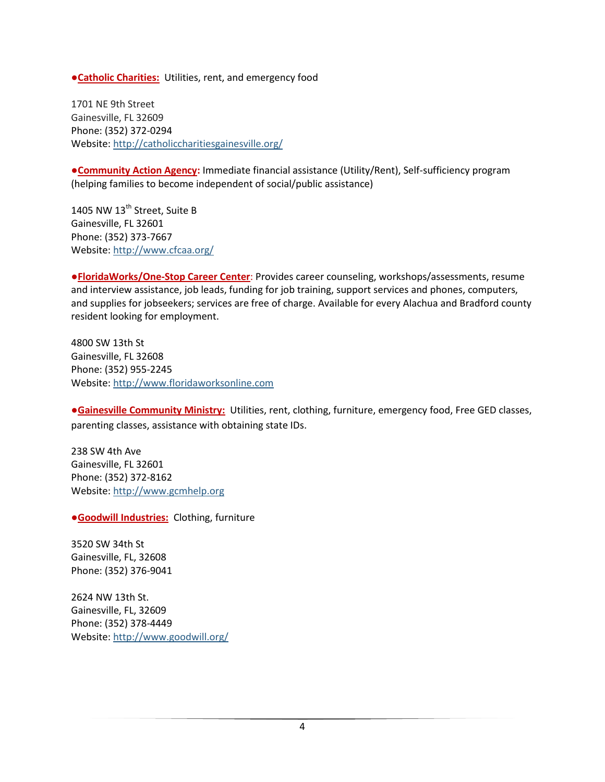**●Catholic Charities:** Utilities, rent, and emergency food

1701 NE 9th Street Gainesville, FL 32609 Phone: (352) 372-0294 Website[: http://catholiccharitiesgainesville.org/](http://catholiccharitiesgainesville.org/)

**●Community Action Agency:** Immediate financial assistance (Utility/Rent), Self-sufficiency program (helping families to become independent of social/public assistance)

1405 NW 13<sup>th</sup> Street, Suite B Gainesville, FL 32601 Phone: (352) 373-7667 Website[: http://www.cfcaa.org/](http://www.cfcaa.org/)

**●FloridaWorks/One-Stop Career Center**: Provides career counseling, workshops/assessments, resume and interview assistance, job leads, funding for job training, support services and phones, computers, and supplies for jobseekers; services are free of charge. Available for every Alachua and Bradford county resident looking for employment.

4800 SW 13th St Gainesville, FL 32608 Phone: (352) 955-2245 Website[: http://www.floridaworksonline.com](http://www.floridaworksonline.com/)

**●Gainesville Community Ministry:** Utilities, rent, clothing, furniture, emergency food, Free GED classes, parenting classes, assistance with obtaining state IDs.

238 SW 4th Ave Gainesville, FL 32601 Phone: (352) 372-8162 Website[: http://www.gcmhelp.org](http://www.gcmhelp.org/)

**●Goodwill Industries:** Clothing, furniture

3520 SW 34th St Gainesville, FL, 32608 Phone: (352) 376-9041

2624 NW 13th St. Gainesville, FL, 32609 Phone: (352) 378-4449 Website[: http://www.goodwill.org/](http://www.goodwill.org/)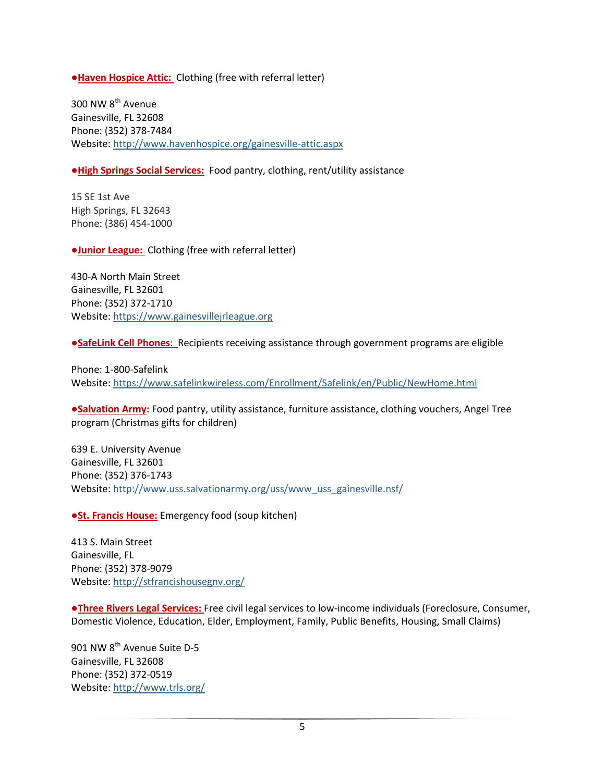**●Haven Hospice Attic:** Clothing (free with referral letter)

300 NW 8<sup>th</sup> Avenue Gainesville, FL 32608 Phone: (352) 378-7484 Website[: http://www.havenhospice.org/gainesville-attic.aspx](http://www.havenhospice.org/gainesville-attic.aspx)

**●High Springs Social Services:** Food pantry, clothing, rent/utility assistance

15 SE 1st Ave High Springs, FL 32643 Phone: (386) 454-1000

**●Junior League:** Clothing (free with referral letter)

430-A North Main Street Gainesville, FL 32601 Phone: (352) 372-1710 Website[: https://www.gainesvillejrleague.org](https://www.gainesvillejrleague.org/)

**●SafeLink Cell Phones**: Recipients receiving assistance through government programs are eligible

Phone: 1-800-Safelink Website[: https://www.safelinkwireless.com/Enrollment/Safelink/en/Public/NewHome.html](https://www.safelinkwireless.com/Enrollment/Safelink/en/Public/NewHome.html)

**●Salvation Army:** Food pantry, utility assistance, furniture assistance, clothing vouchers, Angel Tree program (Christmas gifts for children)

639 E. University Avenue Gainesville, FL 32601 Phone: (352) 376-1743 Website[: http://www.uss.salvationarmy.org/uss/www\\_uss\\_gainesville.nsf/](http://www.uss.salvationarmy.org/uss/www_uss_gainesville.nsf/)

*•St. Francis House:* Emergency food (soup kitchen)

413 S. Main Street Gainesville, FL Phone: (352) 378-9079 Website[: http://stfrancishousegnv.org/](http://stfrancishousegnv.org/)

**●Three Rivers Legal Services:** Free civil legal services to low-income individuals (Foreclosure, Consumer, Domestic Violence, Education, Elder, Employment, Family, Public Benefits, Housing, Small Claims)

901 NW 8<sup>th</sup> Avenue Suite D-5 Gainesville, FL 32608 Phone: (352) 372-0519 Website[: http://www.trls.org/](http://www.trls.org/)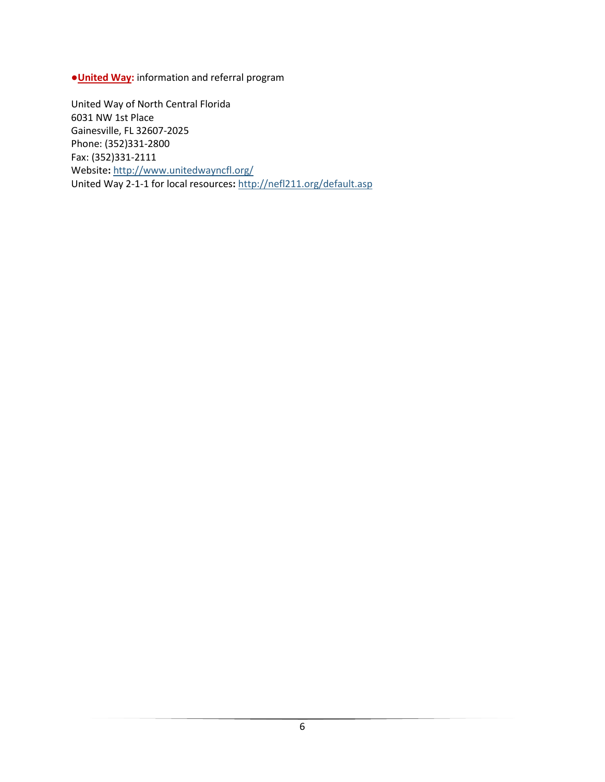**●United Way:** information and referral program

United Way of North Central Florida 6031 NW 1st Place Gainesville, FL 32607-2025 Phone: (352)331-2800 Fax: (352)331-2111 Website**:** <http://www.unitedwayncfl.org/> United Way 2-1-1 for local resources**:** <http://nefl211.org/default.asp>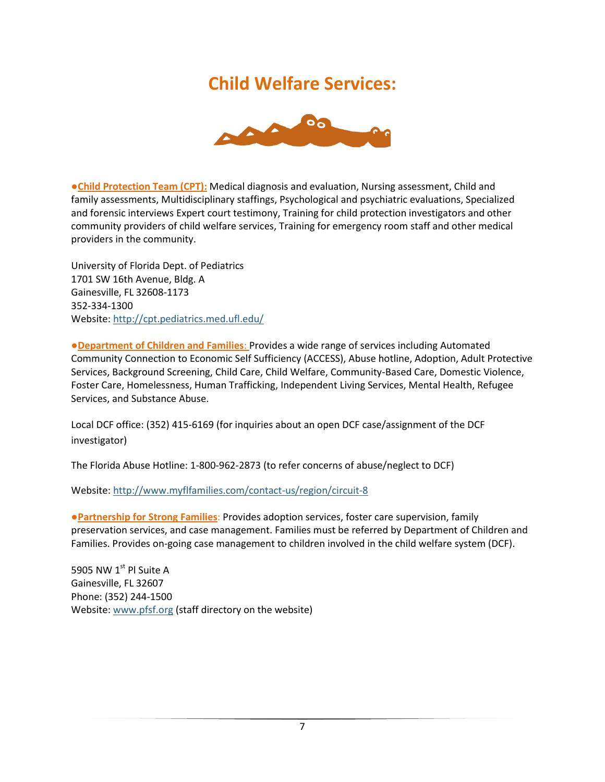#### **Child Welfare Services:**



**●Child Protection Team (CPT):** Medical diagnosis and evaluation, Nursing assessment, Child and family assessments, Multidisciplinary staffings, Psychological and psychiatric evaluations, Specialized and forensic interviews Expert court testimony, Training for child protection investigators and other community providers of child welfare services, Training for emergency room staff and other medical providers in the community.

University of Florida Dept. of Pediatrics 1701 SW 16th Avenue, Bldg. A Gainesville, FL 32608-1173 352-334-1300 Website: <http://cpt.pediatrics.med.ufl.edu/>

**●Department of Children and Families**: Provides a wide range of services including Automated Community Connection to Economic Self Sufficiency (ACCESS), Abuse hotline, Adoption, Adult Protective Services, Background Screening, Child Care, Child Welfare, Community-Based Care, Domestic Violence, Foster Care, Homelessness, Human Trafficking, Independent Living Services, Mental Health, Refugee Services, and Substance Abuse.

Local DCF office: (352) 415-6169 (for inquiries about an open DCF case/assignment of the DCF investigator)

The Florida Abuse Hotline: 1-800-962-2873 (to refer concerns of abuse/neglect to DCF)

Website: <http://www.myflfamilies.com/contact-us/region/circuit-8>

**●Partnership for Strong Families**: Provides adoption services, foster care supervision, family preservation services, and case management. Families must be referred by Department of Children and Families. Provides on-going case management to children involved in the child welfare system (DCF).

5905 NW 1st Pl Suite A Gainesville, FL 32607 Phone: (352) 244-1500 Website[: www.pfsf.org](http://www.pfsf.org/) (staff directory on the website)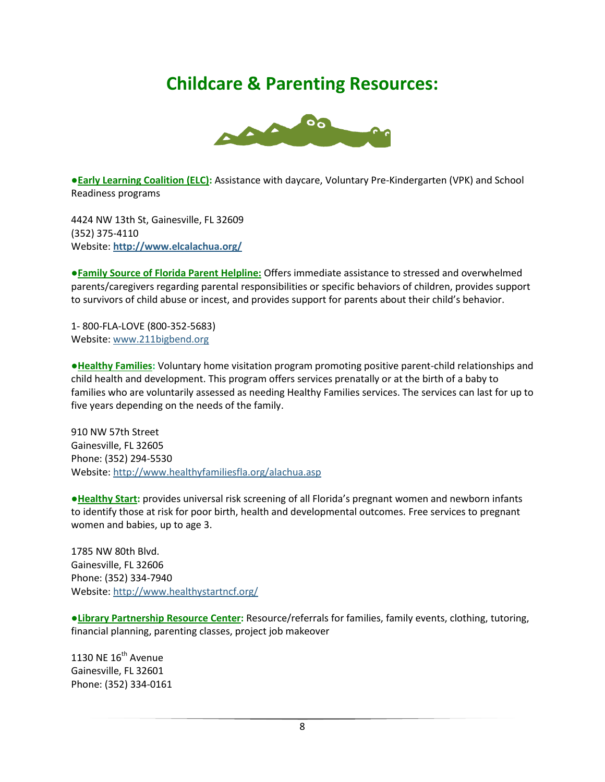### **Childcare & Parenting Resources:**



**●Early Learning Coalition (ELC):** Assistance with daycare, Voluntary Pre-Kindergarten (VPK) and School Readiness programs

4424 NW 13th St, Gainesville, FL 32609 (352) 375-4110 Website: **<http://www.elcalachua.org/>**

**●Family Source of Florida Parent Helpline:** Offers immediate assistance to stressed and overwhelmed parents/caregivers regarding parental responsibilities or specific behaviors of children, provides support to survivors of child abuse or incest, and provides support for parents about their child's behavior.

1- 800-FLA-LOVE (800-352-5683) Website: [www.211bigbend.org](http://www.211bigbend.org/)

**●Healthy Families:** Voluntary home visitation program promoting positive parent-child relationships and child health and development. This program offers services prenatally or at the birth of a baby to families who are voluntarily assessed as needing Healthy Families services. The services can last for up to five years depending on the needs of the family.

910 NW 57th Street Gainesville, FL 32605 Phone: (352) 294-5530 Website[: http://www.healthyfamiliesfla.org/alachua.asp](http://www.healthyfamiliesfla.org/alachua.asp)

**●Healthy Start:** provides universal risk screening of all Florida's pregnant women and newborn infants to identify those at risk for poor birth, health and developmental outcomes. Free services to pregnant women and babies, up to age 3.

1785 NW 80th Blvd. Gainesville, FL 32606 Phone: (352) 334-7940 Website: <http://www.healthystartncf.org/>

**●Library Partnership Resource Center:** Resource/referrals for families, family events, clothing, tutoring, financial planning, parenting classes, project job makeover

1130 NE  $16^{th}$  Avenue Gainesville, FL 32601 Phone: (352) 334-0161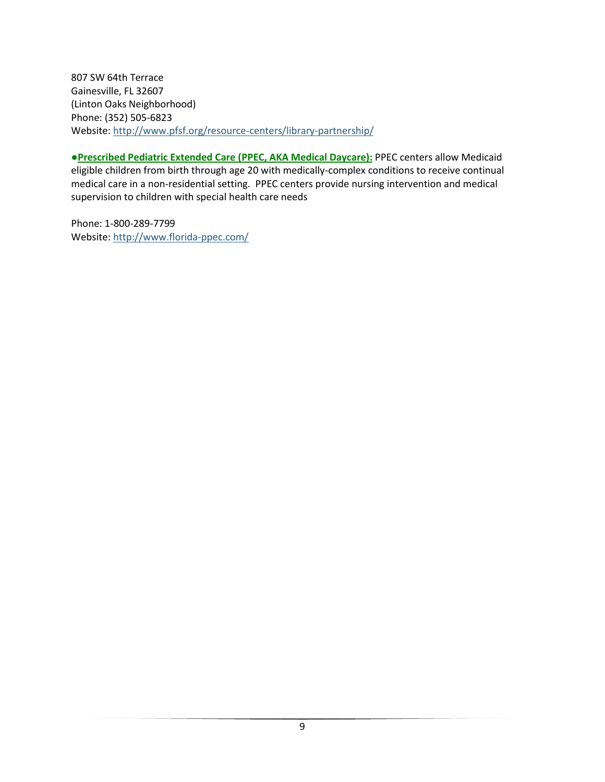807 SW 64th Terrace Gainesville, FL 32607 (Linton Oaks Neighborhood) Phone: (352) 505-6823 Website[: http://www.pfsf.org/resource-centers/library-partnership/](http://www.pfsf.org/resource-centers/library-partnership/)

**●Prescribed Pediatric Extended Care (PPEC, AKA Medical Daycare):** PPEC centers allow Medicaid eligible children from birth through age 20 with medically-complex conditions to receive continual medical care in a non-residential setting. PPEC centers provide nursing intervention and medical supervision to children with special health care needs

Phone: 1-800-289-7799 Website[: http://www.florida-ppec.com/](http://www.florida-ppec.com/)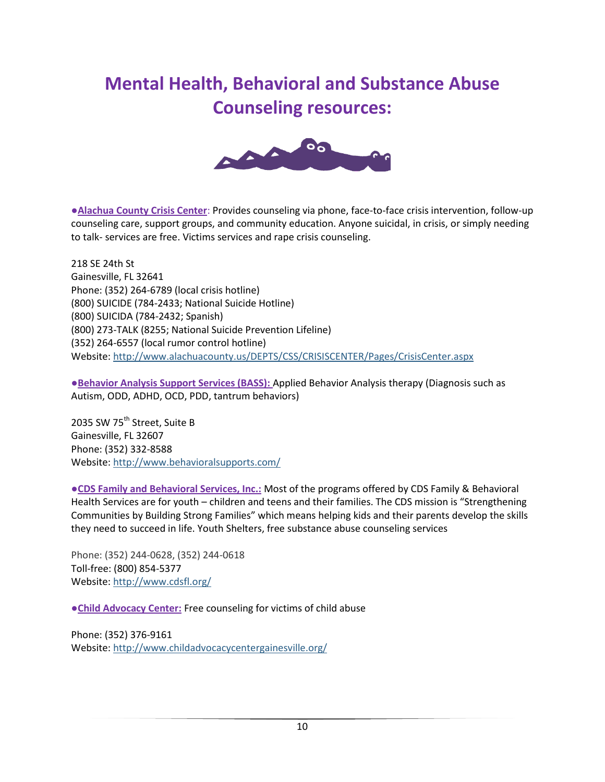## **Mental Health, Behavioral and Substance Abuse Counseling resources:**



●**Alachua County Crisis Center**: Provides counseling via phone, face-to-face crisis intervention, follow-up counseling care, support groups, and community education. Anyone suicidal, in crisis, or simply needing to talk- services are free. Victims services and rape crisis counseling.

218 SE 24th St Gainesville, FL 32641 Phone: (352) 264-6789 (local crisis hotline) (800) SUICIDE (784-2433; National Suicide Hotline) (800) SUICIDA (784-2432; Spanish) (800) 273-TALK (8255; National Suicide Prevention Lifeline) (352) 264-6557 (local rumor control hotline) Website[: http://www.alachuacounty.us/DEPTS/CSS/CRISISCENTER/Pages/CrisisCenter.aspx](http://www.alachuacounty.us/DEPTS/CSS/CRISISCENTER/Pages/CrisisCenter.aspx)

**●Behavior Analysis Support Services (BASS):** Applied Behavior Analysis therapy (Diagnosis such as Autism, ODD, ADHD, OCD, PDD, tantrum behaviors)

2035 SW 75<sup>th</sup> Street, Suite B Gainesville, FL 32607 Phone: (352) 332-8588 Website[: http://www.behavioralsupports.com/](http://www.behavioralsupports.com/)

**●CDS Family and Behavioral Services, Inc.:** Most of the programs offered by CDS Family & Behavioral Health Services are for youth – children and teens and their families. The CDS mission is "Strengthening Communities by Building Strong Families" which means helping kids and their parents develop the skills they need to succeed in life. Youth Shelters, free substance abuse counseling services

Phone: (352) 244-0628, (352) 244-0618 Toll-free: (800) 854-5377 Website[: http://www.cdsfl.org/](http://www.cdsfl.org/)

**●Child Advocacy Center:** Free counseling for victims of child abuse

Phone: (352) 376-9161 Website[: http://www.childadvocacycentergainesville.org/](http://www.childadvocacycentergainesville.org/)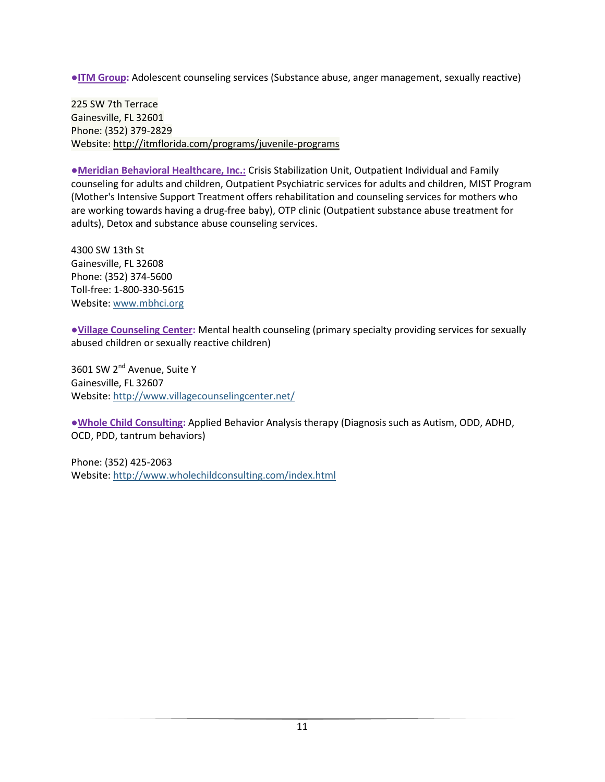**●ITM Group:** Adolescent counseling services (Substance abuse, anger management, sexually reactive)

225 SW 7th Terrace Gainesville, FL 32601 Phone: (352) 379-2829 Website[: http://itmflorida.com/programs/juvenile-programs](http://itmflorida.com/programs/juvenile-programs)

**●Meridian Behavioral Healthcare, Inc.:** Crisis Stabilization Unit, Outpatient Individual and Family counseling for adults and children, Outpatient Psychiatric services for adults and children, MIST Program (Mother's Intensive Support Treatment offers rehabilitation and counseling services for mothers who are working towards having a drug-free baby), OTP clinic (Outpatient substance abuse treatment for adults), Detox and substance abuse counseling services.

4300 SW 13th St Gainesville, FL 32608 Phone: (352) 374-5600 Toll-free: 1-800-330-5615 Website[: www.mbhci.org](http://www.mbhci.org/)

**●Village Counseling Center:** Mental health counseling (primary specialty providing services for sexually abused children or sexually reactive children)

3601 SW 2<sup>nd</sup> Avenue, Suite Y Gainesville, FL 32607 Website[: http://www.villagecounselingcenter.net/](http://www.villagecounselingcenter.net/)

**●Whole Child Consulting:** Applied Behavior Analysis therapy (Diagnosis such as Autism, ODD, ADHD, OCD, PDD, tantrum behaviors)

Phone: (352) 425-2063 Website[: http://www.wholechildconsulting.com/index.html](http://www.wholechildconsulting.com/index.html)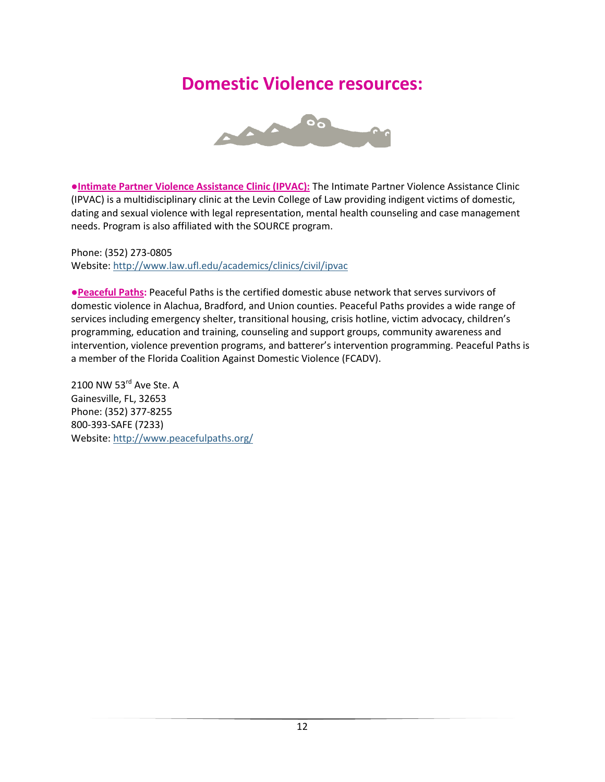#### **Domestic Violence resources:**



**●Intimate Partner Violence Assistance Clinic (IPVAC):** The Intimate Partner Violence Assistance Clinic (IPVAC) is a multidisciplinary clinic at the Levin College of Law providing indigent victims of domestic, dating and sexual violence with legal representation, mental health counseling and case management needs. Program is also affiliated with the SOURCE program.

Phone: (352) 273-0805 Website: <http://www.law.ufl.edu/academics/clinics/civil/ipvac>

**●Peaceful Paths:** Peaceful Paths is the certified domestic abuse network that serves survivors of domestic violence in Alachua, Bradford, and Union counties. Peaceful Paths provides a wide range of services including emergency shelter, transitional housing, crisis hotline, victim advocacy, children's programming, education and training, counseling and support groups, community awareness and intervention, violence prevention programs, and batterer's intervention programming. Peaceful Paths is a member of the Florida Coalition Against Domestic Violence (FCADV).

[2100 NW 53](https://maps.google.com/maps?q=2100+NW+53rd+Ave+Ste.+A,+Gainesville,+FL,+32653&hl=en&sll=27.698638,-83.804601&sspn=13.59453,20.302734&t=v&hnear=2100+NW+53rd+Ave,+Gainesville,+Alachua,+Florida+32653&z=17)rd Ave Ste. A [Gainesville, FL, 32653](https://maps.google.com/maps?q=2100+NW+53rd+Ave+Ste.+A,+Gainesville,+FL,+32653&hl=en&sll=27.698638,-83.804601&sspn=13.59453,20.302734&t=v&hnear=2100+NW+53rd+Ave,+Gainesville,+Alachua,+Florida+32653&z=17) Phone: (352) 377-8255 800-393-SAFE (7233) Website: <http://www.peacefulpaths.org/>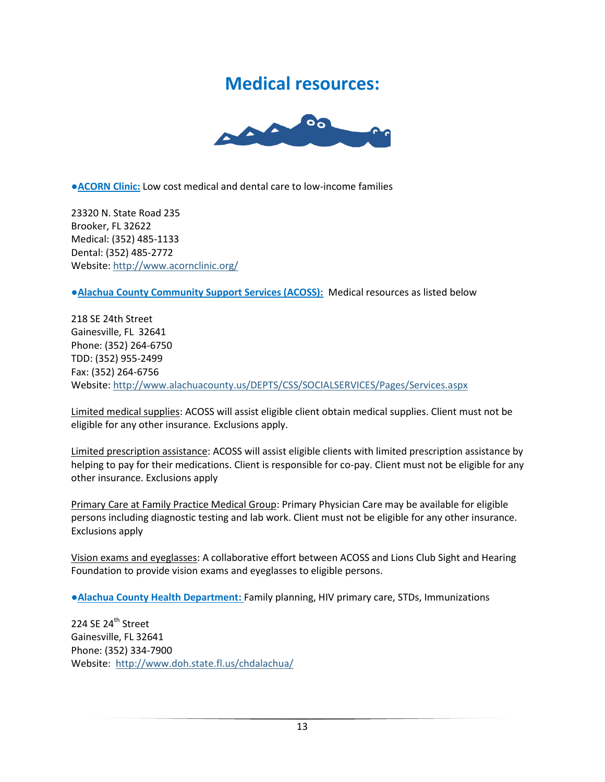#### **Medical resources:**



●**ACORN Clinic:** Low cost medical and dental care to low-income families

23320 N. State Road 235 Brooker, FL 32622 Medical: (352) 485-1133 Dental: (352) 485-2772 Website[: http://www.acornclinic.org/](http://www.acornclinic.org/)

**●Alachua County Community Support Services (ACOSS):** Medical resources as listed below

218 SE 24th Street Gainesville, FL 32641 Phone: (352) 264-6750 TDD: (352) 955-2499 Fax: (352) 264-6756 Website[: http://www.alachuacounty.us/DEPTS/CSS/SOCIALSERVICES/Pages/Services.aspx](http://www.alachuacounty.us/DEPTS/CSS/SOCIALSERVICES/Pages/Services.aspx)

Limited medical supplies: ACOSS will assist eligible client obtain medical supplies. Client must not be eligible for any other insurance. Exclusions apply.

Limited prescription assistance: ACOSS will assist eligible clients with limited prescription assistance by helping to pay for their medications. Client is responsible for co-pay. Client must not be eligible for any other insurance. Exclusions apply

Primary Care at Family Practice Medical Group: Primary Physician Care may be available for eligible persons including diagnostic testing and lab work. Client must not be eligible for any other insurance. Exclusions apply

Vision exams and eyeglasses: A collaborative effort between ACOSS and Lions Club Sight and Hearing Foundation to provide vision exams and eyeglasses to eligible persons.

**●Alachua County Health Department:** Family planning, HIV primary care, STDs, Immunizations

224 SE 24<sup>th</sup> Street Gainesville, FL 32641 Phone: (352) 334-7900 Website: <http://www.doh.state.fl.us/chdalachua/>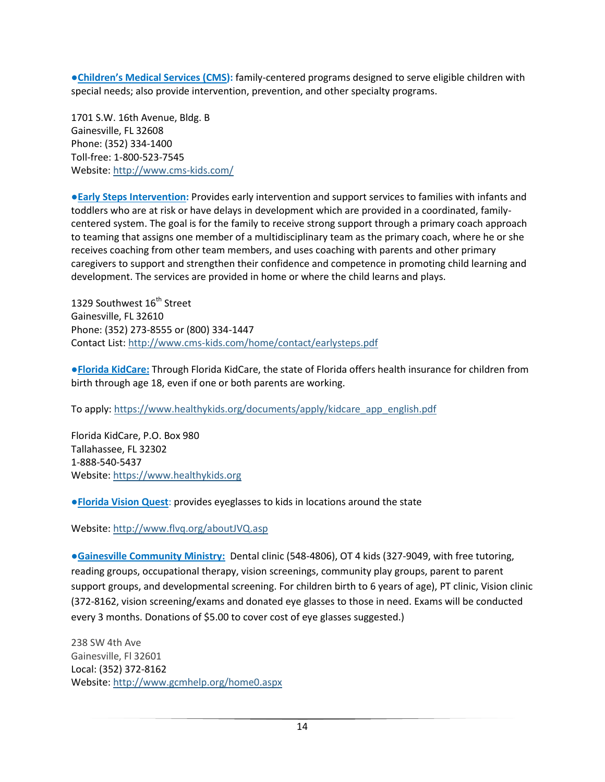●**Children's Medical Services (CMS):** family-centered programs designed to serve eligible children with special needs; also provide intervention, prevention, and other specialty programs.

1701 S.W. 16th Avenue, Bldg. B Gainesville, FL 32608 Phone: (352) 334-1400 Toll-free: 1-800-523-7545 Website[: http://www.cms-kids.com/](http://www.cms-kids.com/)

**●Early Steps Intervention:** Provides early intervention and support services to families with infants and toddlers who are at risk or have delays in development which are provided in a coordinated, familycentered system. The goal is for the family to receive strong support through a primary coach approach to teaming that assigns one member of a multidisciplinary team as the primary coach, where he or she receives coaching from other team members, and uses coaching with parents and other primary caregivers to support and strengthen their confidence and competence in promoting child learning and development. The services are provided in home or where the child learns and plays.

1329 Southwest 16<sup>th</sup> Street Gainesville, FL 32610 Phone: (352) 273-8555 or (800) 334-1447 Contact List: <http://www.cms-kids.com/home/contact/earlysteps.pdf>

**●Florida KidCare:** Through Florida KidCare, the state of Florida offers health insurance for children from birth through age 18, even if one or both parents are working.

To apply[: https://www.healthykids.org/documents/apply/kidcare\\_app\\_english.pdf](https://www.healthykids.org/documents/apply/kidcare_app_english.pdf)

Florida KidCare, P.O. Box 980 Tallahassee, FL 32302 1-888-540-5437 Website[: https://www.healthykids.org](https://www.healthykids.org/)

**●Florida Vision Quest**: provides eyeglasses to kids in locations around the state

Website[: http://www.flvq.org/aboutJVQ.asp](http://www.flvq.org/aboutJVQ.asp)

**●Gainesville Community Ministry:** Dental clinic (548-4806), OT 4 kids (327-9049, with free tutoring, reading groups, occupational therapy, vision screenings, community play groups, parent to parent support groups, and developmental screening. For children birth to 6 years of age), PT clinic, Vision clinic (372-8162, vision screening/exams and donated eye glasses to those in need. Exams will be conducted every 3 months. Donations of \$5.00 to cover cost of eye glasses suggested.)

238 SW 4th Ave Gainesville, Fl 32601 Local: (352) 372-8162 Website[: http://www.gcmhelp.org/home0.aspx](http://www.gcmhelp.org/home0.aspx)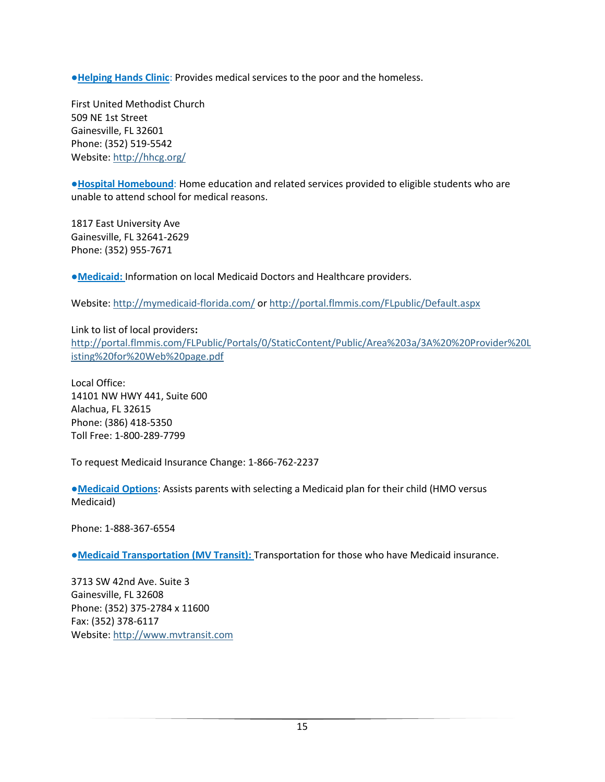**●Helping Hands Clinic**: Provides medical services to the poor and the homeless.

First United Methodist Church 509 NE 1st Street Gainesville, FL 32601 Phone: (352) 519-5542 Website: <http://hhcg.org/>

**●Hospital Homebound**: Home education and related services provided to eligible students who are unable to attend school for medical reasons.

1817 East University Ave Gainesville, FL 32641-2629 Phone: (352) 955-7671

**●Medicaid:** Information on local Medicaid Doctors and Healthcare providers.

Website: <http://mymedicaid-florida.com/> o[r http://portal.flmmis.com/FLpublic/Default.aspx](http://portal.flmmis.com/FLpublic/Default.aspx)

Link to list of local providers**:**  [http://portal.flmmis.com/FLPublic/Portals/0/StaticContent/Public/Area%203a/3A%20%20Provider%20L](http://portal.flmmis.com/FLPublic/Portals/0/StaticContent/Public/Area%203a/3A%20%20Provider%20Listing%20for%20Web%20page.pdf) [isting%20for%20Web%20page.pdf](http://portal.flmmis.com/FLPublic/Portals/0/StaticContent/Public/Area%203a/3A%20%20Provider%20Listing%20for%20Web%20page.pdf)

Local Office: 14101 NW HWY 441, Suite 600 Alachua, FL 32615 Phone: (386) 418-5350 Toll Free: 1-800-289-7799

To request Medicaid Insurance Change: 1-866-762-2237

**●Medicaid Options**: Assists parents with selecting a Medicaid plan for their child (HMO versus Medicaid)

Phone: 1-888-367-6554

**●Medicaid Transportation (MV Transit):** Transportation for those who have Medicaid insurance.

3713 SW 42nd Ave. Suite 3 Gainesville, FL 32608 Phone: (352) 375-2784 x 11600 Fax: (352) 378-6117 Website[: http://www.mvtransit.com](http://www.mvtransit.com/)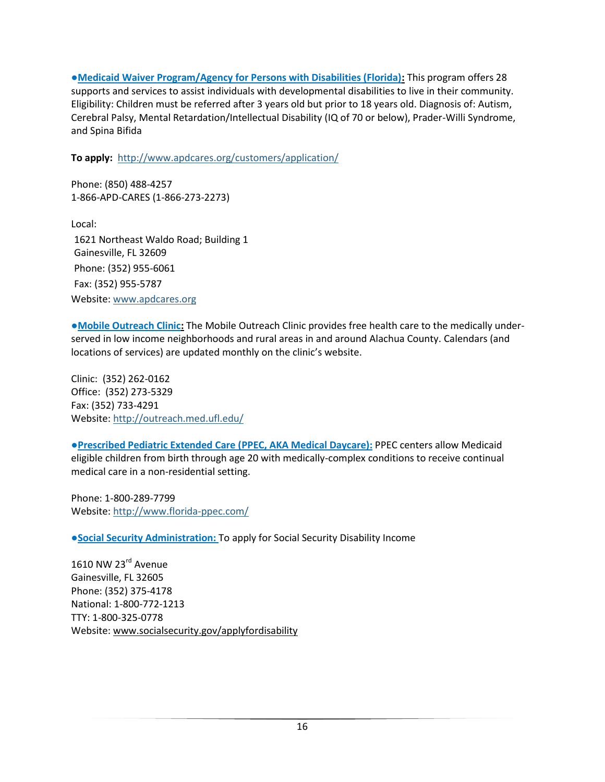**●Medicaid Waiver Program/Agency for Persons with Disabilities (Florida):** This program offers 28 supports and services to assist individuals with developmental disabilities to live in their community. Eligibility: Children must be referred after 3 years old but prior to 18 years old. Diagnosis of: Autism, Cerebral Palsy, Mental Retardation/Intellectual Disability (IQ of 70 or below), Prader-Willi Syndrome, and Spina Bifida

**To apply:** <http://www.apdcares.org/customers/application/>

Phone: (850) 488-4257 1-866-APD-CARES (1-866-273-2273)

Local: 1621 Northeast Waldo Road; Building 1 Gainesville, FL 32609 Phone: (352) 955-6061 Fax: (352) 955-5787 Website: [www.apdcares.org](http://www.apdcares.org/)

**●Mobile Outreach Clinic:** The Mobile Outreach Clinic provides free health care to the medically underserved in low income neighborhoods and rural areas in and around Alachua County. Calendars (and locations of services) are updated monthly on the clinic's website.

Clinic: (352) 262-0162 Office: (352) 273-5329 Fax: (352) 733-4291 Website[: http://outreach.med.ufl.edu/](http://outreach.med.ufl.edu/)

**●Prescribed Pediatric Extended Care (PPEC, AKA Medical Daycare):** PPEC centers allow Medicaid eligible children from birth through age 20 with medically-complex conditions to receive continual medical care in a non-residential setting.

Phone: 1-800-289-7799 Website[: http://www.florida-ppec.com/](http://www.florida-ppec.com/)

**●Social Security Administration:** To apply for Social Security Disability Income

1610 NW 23<sup>rd</sup> Avenue Gainesville, FL 32605 Phone: (352) 375-4178 National: 1-800-772-1213 TTY: 1-800-325-0778 Website[: www.socialsecurity.gov/applyfordisability](http://www.socialsecurity.gov/applyfordisability)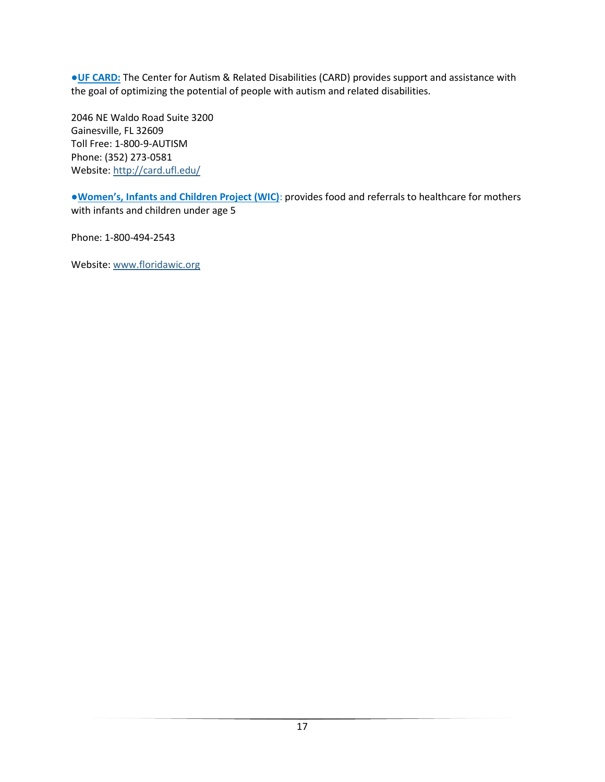**●UF CARD:** The Center for Autism & Related Disabilities (CARD) provides support and assistance with the goal of optimizing the potential of people with autism and related disabilities.

2046 NE Waldo Road Suite 3200 Gainesville, FL 32609 Toll Free: 1-800-9-AUTISM Phone: (352) 273-0581 Website[: http://card.ufl.edu/](http://card.ufl.edu/)

**●Women's, Infants and Children Project (WIC)**: provides food and referrals to healthcare for mothers with infants and children under age 5

Phone: 1-800-494-2543

Website[: www.floridawic.org](http://www.floridawic.org/)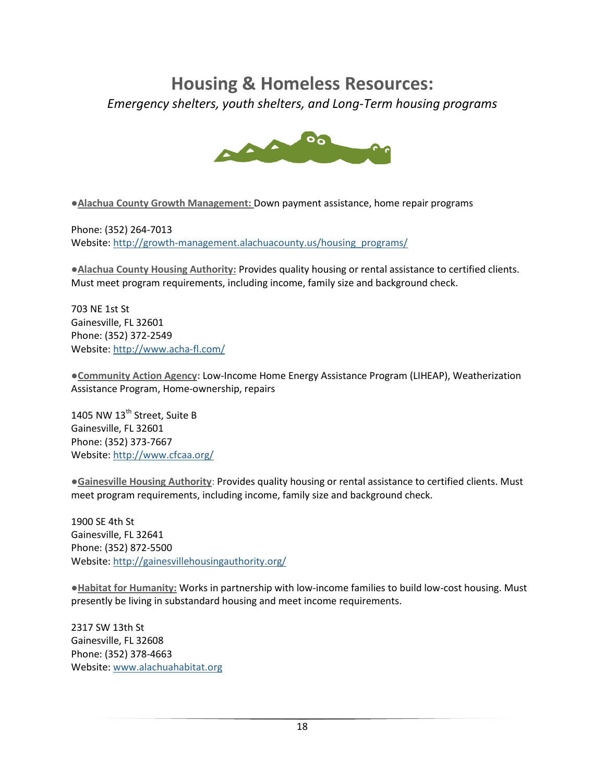# **Housing & Homeless Resources:**

*Emergency shelters, youth shelters, and Long-Term housing programs*



●**Alachua County Growth Management:** Down payment assistance, home repair programs

Phone: (352) 264-7013 Website[: http://growth-management.alachuacounty.us/housing\\_programs/](http://growth-management.alachuacounty.us/housing_programs/)

●**Alachua County Housing Authority:** Provides quality housing or rental assistance to certified clients. Must meet program requirements, including income, family size and background check.

703 NE 1st St Gainesville, FL 32601 Phone: (352) 372-2549 Website[: http://www.acha-fl.com/](http://www.acha-fl.com/)

**●Community Action Agency:** Low-Income Home Energy Assistance Program (LIHEAP), Weatherization Assistance Program, Home-ownership, repairs

1405 NW 13<sup>th</sup> Street, Suite B Gainesville, FL 32601 Phone: (352) 373-7667 Website[: http://www.cfcaa.org/](http://www.cfcaa.org/)

**●Gainesville Housing Authority**: Provides quality housing or rental assistance to certified clients. Must meet program requirements, including income, family size and background check.

1900 SE 4th St Gainesville, FL 32641 Phone: (352) 872-5500 Website[: http://gainesvillehousingauthority.org/](http://gainesvillehousingauthority.org/)

**●Habitat for Humanity:** Works in partnership with low-income families to build low-cost housing. Must presently be living in substandard housing and meet income requirements.

2317 SW 13th St Gainesville, FL 32608 Phone: (352) 378-4663 Website: [www.alachuahabitat.org](http://www.alachuahabitat.org/)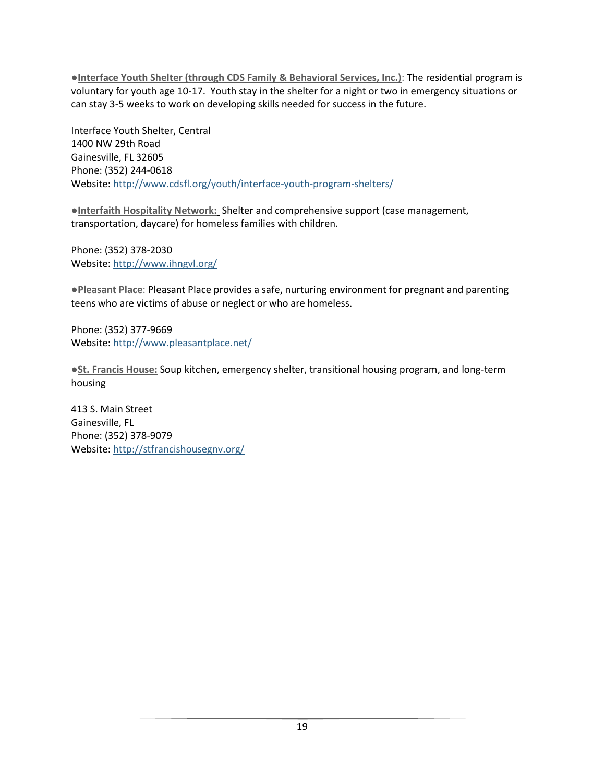**●Interface Youth Shelter (through CDS Family & Behavioral Services, Inc.)**: The residential program is voluntary for youth age 10-17. Youth stay in the shelter for a night or two in emergency situations or can stay 3-5 weeks to work on developing skills needed for success in the future.

Interface Youth Shelter, Central 1400 NW 29th Road Gainesville, FL 32605 Phone: (352) 244-0618 Website[: http://www.cdsfl.org/youth/interface-youth-program-shelters/](http://www.cdsfl.org/youth/interface-youth-program-shelters/)

**●Interfaith Hospitality Network:** Shelter and comprehensive support (case management, transportation, daycare) for homeless families with children.

Phone: (352) 378-2030 Website[: http://www.ihngvl.org/](http://www.ihngvl.org/)

**●Pleasant Place**: Pleasant Place provides a safe, nurturing environment for pregnant and parenting teens who are victims of abuse or neglect or who are homeless.

Phone: (352) 377-9669 Website[: http://www.pleasantplace.net/](http://www.pleasantplace.net/)

**●St. Francis House:** Soup kitchen, emergency shelter, transitional housing program, and long-term housing

413 S. Main Street Gainesville, FL Phone: (352) 378-9079 Website[: http://stfrancishousegnv.org/](http://stfrancishousegnv.org/)